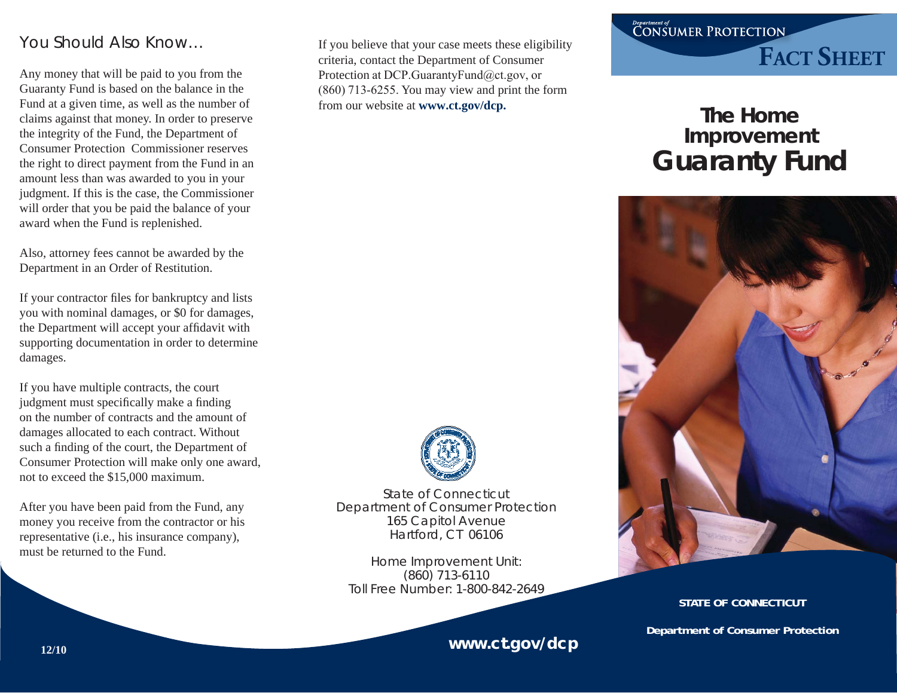## You Should Also Know…

Any money that will be paid to you from the Guaranty Fund is based on the balance in the Fund at a given time, as well as the number of claims against that money. In order to preserve the integrity of the Fund, the Department of Consumer Protection Commissioner reserves the right to direct payment from the Fund in an amount less than was awarded to you in your judgment. If this is the case, the Commissioner will order that you be paid the balance of your award when the Fund is replenished.

Also, attorney fees cannot be awarded by the Department in an Order of Restitution.

If your contractor files for bankruptcy and lists you with nominal damages, or \$0 for damages, the Department will accept your affidavit with supporting documentation in order to determine damages.

If you have multiple contracts, the court judgment must specifically make a finding on the number of contracts and the amount of damages allocated to each contract. Without such a finding of the court, the Department of Consumer Protection will make only one award, not to exceed the \$15,000 maximum.

After you have been paid from the Fund, any money you receive from the contractor or his representative (i.e., his insurance company), must be returned to the Fund.

If you believe that your case meets these eligibility criteria, contact the Department of Consumer Protection at DCP.GuarantyFund@ct.gov, or (860) 713-6255. You may view and print the form from our website at **www.ct.gov/dcp.**



State of ConnecticutDepartment of Consumer Protection 165 Capitol Avenue Hartford, CT 06106

Home Improvement Unit: (860) 713-6110 Toll Free Number: 1-800-842-2649

## **www.ct.gov/dcp**

## Department of<br>CONSUMER PROTECTION **FACT SHEET**

# **The Home Improvement Guaranty Fund**



#### **STATE OF CONNECTICUT**

**Department of Consumer Protection**

**12/10**